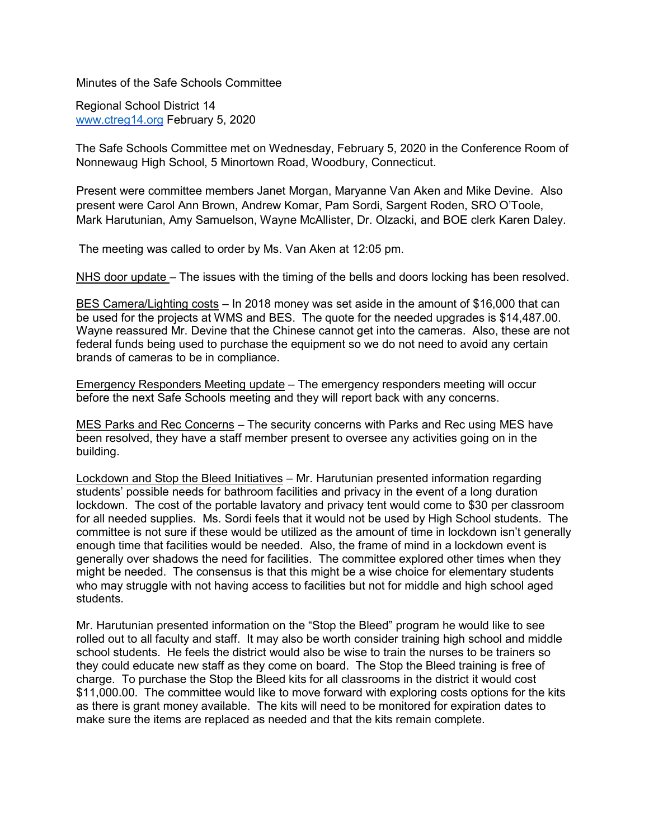Minutes of the Safe Schools Committee

Regional School District 14 [www.ctreg14.org](http://www.ctreg14.org/) [F](http://www.ctreg14.org/)ebruary 5, 2020

The Safe Schools Committee met on Wednesday, February 5, 2020 in the Conference Room of Nonnewaug High School, 5 Minortown Road, Woodbury, Connecticut.

Present were committee members Janet Morgan, Maryanne Van Aken and Mike Devine. Also present were Carol Ann Brown, Andrew Komar, Pam Sordi, Sargent Roden, SRO O'Toole, Mark Harutunian, Amy Samuelson, Wayne McAllister, Dr. Olzacki, and BOE clerk Karen Daley.

The meeting was called to order by Ms. Van Aken at 12:05 pm.

NHS door update – The issues with the timing of the bells and doors locking has been resolved.

BES Camera/Lighting costs – In 2018 money was set aside in the amount of \$16,000 that can be used for the projects at WMS and BES. The quote for the needed upgrades is \$14,487.00. Wayne reassured Mr. Devine that the Chinese cannot get into the cameras. Also, these are not federal funds being used to purchase the equipment so we do not need to avoid any certain brands of cameras to be in compliance.

Emergency Responders Meeting update – The emergency responders meeting will occur before the next Safe Schools meeting and they will report back with any concerns.

MES Parks and Rec Concerns – The security concerns with Parks and Rec using MES have been resolved, they have a staff member present to oversee any activities going on in the building.

Lockdown and Stop the Bleed Initiatives – Mr. Harutunian presented information regarding students' possible needs for bathroom facilities and privacy in the event of a long duration lockdown. The cost of the portable lavatory and privacy tent would come to \$30 per classroom for all needed supplies. Ms. Sordi feels that it would not be used by High School students. The committee is not sure if these would be utilized as the amount of time in lockdown isn't generally enough time that facilities would be needed. Also, the frame of mind in a lockdown event is generally over shadows the need for facilities. The committee explored other times when they might be needed. The consensus is that this might be a wise choice for elementary students who may struggle with not having access to facilities but not for middle and high school aged students.

Mr. Harutunian presented information on the "Stop the Bleed" program he would like to see rolled out to all faculty and staff. It may also be worth consider training high school and middle school students. He feels the district would also be wise to train the nurses to be trainers so they could educate new staff as they come on board. The Stop the Bleed training is free of charge. To purchase the Stop the Bleed kits for all classrooms in the district it would cost \$11,000.00. The committee would like to move forward with exploring costs options for the kits as there is grant money available. The kits will need to be monitored for expiration dates to make sure the items are replaced as needed and that the kits remain complete.